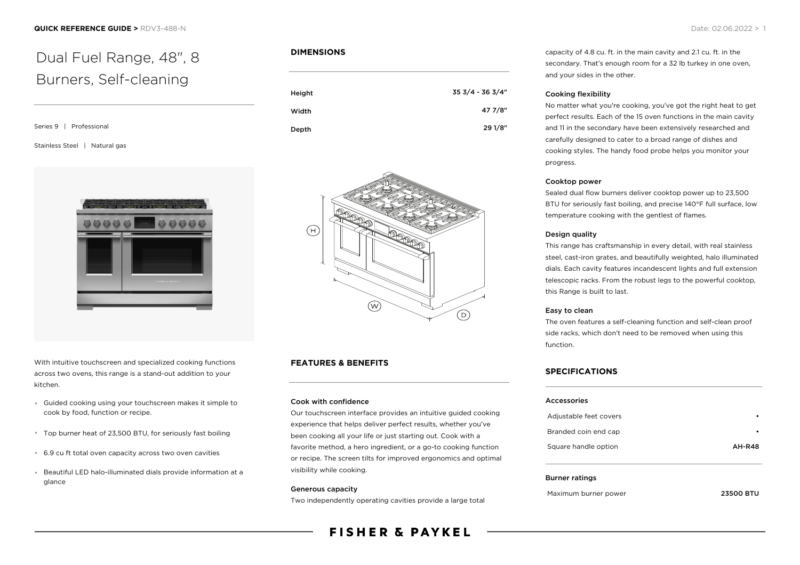# Dual Fuel Range, 48", 8 Burners, Self-cleaning

Series 9 | Professional

### Stainless Steel | Natural gas



With intuitive touchscreen and specialized cooking functions across two ovens, this range is a stand-out addition to your kitchen.

- Guided cooking using your touchscreen makes it simple to cook by food, function or recipe.
- Top burner heat of 23,500 BTU, for seriously fast boiling
- 6.9 cu ft total oven capacity across two oven cavities
- Beautiful LED halo-illuminated dials provide information at a glance

### **DIMENSIONS**

| Height | 35 3/4 - 36 3/4" |
|--------|------------------|
| Width  | 47 7/8"          |
| Depth  | 29 1/8"          |



### **FEATURES & BENEFITS**

### Cook with confidence

Our touchscreen interface provides an intuitive guided cooking experience that helps deliver perfect results, whether you've been cooking all your life or just starting out. Cook with a favorite method, a hero ingredient, or a go-to cooking function or recipe. The screen tilts for improved ergonomics and optimal visibility while cooking.

### Generous capacity

Two independently operating cavities provide a large total

# **FISHER & PAYKEL**

capacity of 4.8 cu. ft. in the main cavity and 2.1 cu. ft. in the secondary. That's enough room for a 32 lb turkey in one oven, and your sides in the other.

### Cooking flexibility

No matter what you're cooking, you've got the right heat to get perfect results. Each of the 15 oven functions in the main cavity and 11 in the secondary have been extensively researched and carefully designed to cater to a broad range of dishes and cooking styles. The handy food probe helps you monitor your progress.

### Cooktop power

Sealed dual flow burners deliver cooktop power up to 23,500 BTU for seriously fast boiling, and precise 140°F full surface, low temperature cooking with the gentlest of flames.

### Design quality

This range has craftsmanship in every detail, with real stainless steel, cast-iron grates, and beautifully weighted, halo illuminated dials. Each cavity features incandescent lights and full extension telescopic racks. From the robust legs to the powerful cooktop, this Range is built to last.

### Easy to clean

The oven features a self-cleaning function and self-clean proof side racks, which don't need to be removed when using this function.

### **SPECIFICATIONS**

| <b>Accessories</b>     |               |
|------------------------|---------------|
| Adjustable feet covers |               |
| Branded coin end cap   |               |
| Square handle option   | <b>AH-R48</b> |
|                        |               |
|                        |               |

### Burner ratings

Maximum burner power **23500 BTU**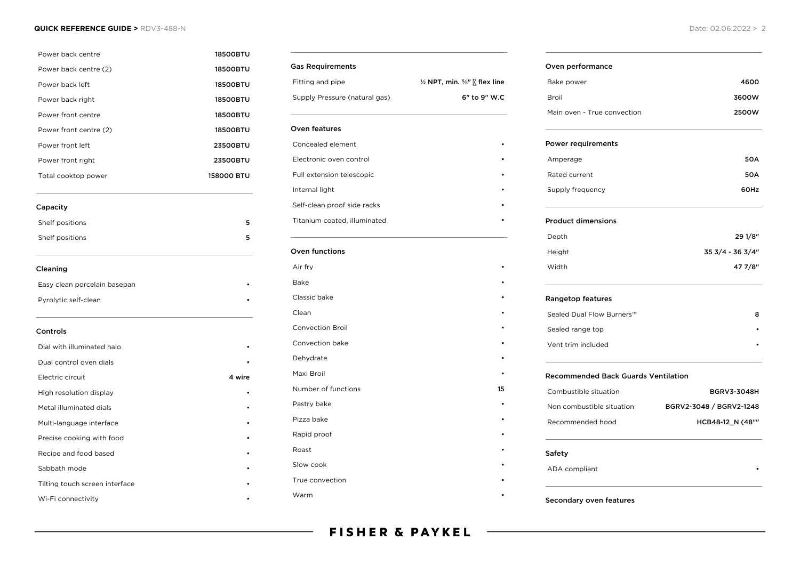### **QUICK REFERENCE GUIDE >** RDV3-488-N Date: 02.06.2022 > 2

| Power back centre              | <b>18500BTU</b> |
|--------------------------------|-----------------|
| Power back centre (2)          | <b>18500BTU</b> |
| Power back left                | <b>18500BTU</b> |
| Power back right               | <b>18500BTU</b> |
| Power front centre             | 18500BTU        |
| Power front centre (2)         | <b>18500BTU</b> |
| Power front left               | 23500BTU        |
| Power front right              | 23500BTU        |
| Total cooktop power            | 158000 BTU      |
| Capacity                       |                 |
| Shelf positions                | 5               |
| Shelf positions                | 5               |
| Cleaning                       |                 |
| Easy clean porcelain basepan   |                 |
| Pyrolytic self-clean           |                 |
| Controls                       |                 |
| Dial with illuminated halo     |                 |
| Dual control oven dials        |                 |
| Electric circuit               | 4 wire          |
| High resolution display        |                 |
| Metal illuminated dials        |                 |
| Multi-language interface       |                 |
| Precise cooking with food      |                 |
| Recipe and food based          |                 |
| Sabbath mode                   |                 |
| Tilting touch screen interface |                 |
| Wi-Fi connectivity             |                 |

| <b>Gas Requirements</b>       |                                                                 |
|-------------------------------|-----------------------------------------------------------------|
| Fitting and pipe              | $\frac{1}{2}$ NPT, min. $\frac{5}{8}$ " $\sqrt[5]{ }$ flex line |
| Supply Pressure (natural gas) | 6" to 9" W.C                                                    |
| <b>Oven features</b>          |                                                                 |
| Concealed element             |                                                                 |
| Electronic oven control       |                                                                 |
| Full extension telescopic     |                                                                 |
| Internal light                |                                                                 |
| Self-clean proof side racks   |                                                                 |
| Titanium coated, illuminated  |                                                                 |
| Oven functions                |                                                                 |
| Air fry                       |                                                                 |
| Bake                          |                                                                 |
| Classic bake                  |                                                                 |
| Clean                         |                                                                 |
| <b>Convection Broil</b>       |                                                                 |
| Convection bake               |                                                                 |
| Dehydrate                     |                                                                 |
| Maxi Broil                    |                                                                 |
| Number of functions           | 15                                                              |
| Pastry bake                   |                                                                 |
| Pizza bake                    |                                                                 |
| Rapid proof                   |                                                                 |
| Roast                         |                                                                 |
| Slow cook                     |                                                                 |
| True convection               |                                                                 |
| Warm                          |                                                                 |

### Oven performance

| Bake power                  | 4600  |
|-----------------------------|-------|
| Broil                       | 3600W |
| Main oven - True convection | 2500W |

### Power requirements

| Amperage         | <b>50A</b> |
|------------------|------------|
| Rated current    | <b>50A</b> |
| Supply frequency | 60Hz       |

### Product dimensions

| Depth  | 29 1/8"          |
|--------|------------------|
| Height | 35 3/4 - 36 3/4" |
| Width  | 47 7/8"          |

### Rangetop features

| Sealed Dual Flow Burners™ |  |
|---------------------------|--|
| Sealed range top          |  |
| Vent trim included        |  |

### Recommended Back Guards Ventilation

| Combustible situation     | <b>BGRV3-3048H</b>      |
|---------------------------|-------------------------|
| Non combustible situation | BGRV2-3048 / BGRV2-1248 |
| Recommended hood          | HCB48-12 N (48""        |

### Safety

ADA compliant

### Secondary oven features

**FISHER & PAYKEL**